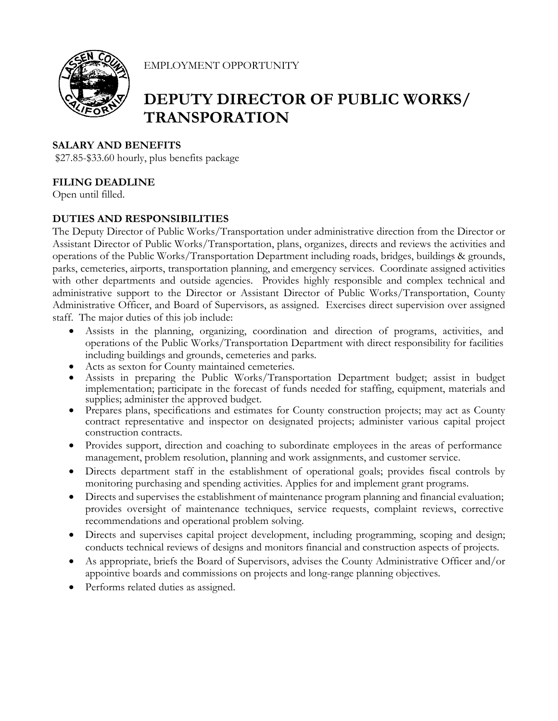

EMPLOYMENT OPPORTUNITY

# **DEPUTY DIRECTOR OF PUBLIC WORKS/ TRANSPORATION**

# **SALARY AND BENEFITS**

\$27.85-\$33.60 hourly, plus benefits package

# **FILING DEADLINE**

Open until filled.

# **DUTIES AND RESPONSIBILITIES**

The Deputy Director of Public Works/Transportation under administrative direction from the Director or Assistant Director of Public Works/Transportation, plans, organizes, directs and reviews the activities and operations of the Public Works/Transportation Department including roads, bridges, buildings & grounds, parks, cemeteries, airports, transportation planning, and emergency services. Coordinate assigned activities with other departments and outside agencies. Provides highly responsible and complex technical and administrative support to the Director or Assistant Director of Public Works/Transportation, County Administrative Officer, and Board of Supervisors, as assigned. Exercises direct supervision over assigned staff. The major duties of this job include:

- Assists in the planning, organizing, coordination and direction of programs, activities, and operations of the Public Works/Transportation Department with direct responsibility for facilities including buildings and grounds, cemeteries and parks.
- 
- Acts as sexton for County maintained cemeteries.<br>• Assists in preparing the Public Works/Transportation Department budget; assist in budget implementation; participate in the forecast of funds needed for staffing, equipment, materials and
- supplies; administer the approved budget.<br>• Prepares plans, specifications and estimates for County construction projects; may act as County contract representative and inspector on designated projects; administer various capital project construction contracts.
- Provides support, direction and coaching to subordinate employees in the areas of performance management, problem resolution, planning and work assignments, and customer service.
- Directs department staff in the establishment of operational goals; provides fiscal controls by monitoring purchasing and spending activities. Applies for and implement grant programs.
- Directs and supervises the establishment of maintenance program planning and financial evaluation; provides oversight of maintenance techniques, service requests, complaint reviews, corrective recommendations and operational problem solving.
- Directs and supervises capital project development, including programming, scoping and design; conducts technical reviews of designs and monitors financial and construction aspects of projects.
- As appropriate, briefs the Board of Supervisors, advises the County Administrative Officer and/or appointive boards and commissions on projects and long-range planning objectives.
- Performs related duties as assigned.